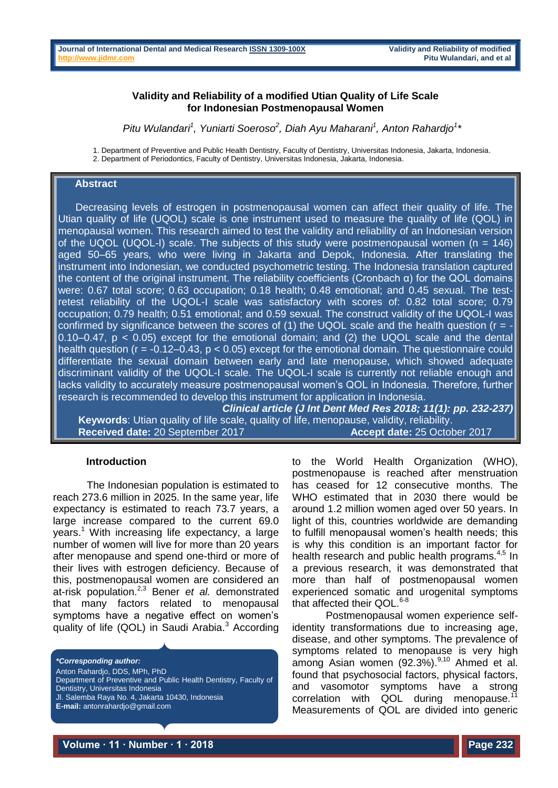## **Validity and Reliability of a modified Utian Quality of Life Scale for Indonesian Postmenopausal Women**

*Pitu Wulandari<sup>1</sup> , Yuniarti Soeroso<sup>2</sup> , Diah Ayu Maharani<sup>1</sup> , Anton Rahardjo<sup>1</sup> \**

1. Department of Preventive and Public Health Dentistry, Faculty of Dentistry, Universitas Indonesia, Jakarta, Indonesia. 2. Department of Periodontics, Faculty of Dentistry, Universitas Indonesia, Jakarta, Indonesia.

#### **Abstract**

 Decreasing levels of estrogen in postmenopausal women can affect their quality of life. The Utian quality of life (UQOL) scale is one instrument used to measure the quality of life (QOL) in menopausal women. This research aimed to test the validity and reliability of an Indonesian version of the UQOL (UQOL-I) scale. The subjects of this study were postmenopausal women ( $n = 146$ ) aged 50–65 years, who were living in Jakarta and Depok, Indonesia. After translating the instrument into Indonesian, we conducted psychometric testing. The Indonesia translation captured the content of the original instrument. The reliability coefficients (Cronbach α) for the QOL domains were: 0.67 total score; 0.63 occupation; 0.18 health; 0.48 emotional; and 0.45 sexual. The testretest reliability of the UQOL-I scale was satisfactory with scores of: 0.82 total score; 0.79 occupation; 0.79 health; 0.51 emotional; and 0.59 sexual. The construct validity of the UQOL-I was confirmed by significance between the scores of (1) the UQOL scale and the health question ( $r = -$ 0.10–0.47,  $p < 0.05$ ) except for the emotional domain; and (2) the UQOL scale and the dental health question ( $r = -0.12 - 0.43$ ,  $p < 0.05$ ) except for the emotional domain. The questionnaire could differentiate the sexual domain between early and late menopause, which showed adequate discriminant validity of the UQOL-I scale. The UQOL-I scale is currently not reliable enough and lacks validity to accurately measure postmenopausal women's QOL in Indonesia. Therefore, further research is recommended to develop this instrument for application in Indonesia.

*Clinical article (J Int Dent Med Res 2018; 11(1): pp. 232-237)*   **Keywords**: Utian quality of life scale, quality of life, menopause, validity, reliability.  **Received date:** 20 September 2017 **Accept date:** 25 October 2017

#### **Introduction**

The Indonesian population is estimated to reach 273.6 million in 2025. In the same year, life expectancy is estimated to reach 73.7 years, a large increase compared to the current 69.0  $years<sup>1</sup>$  With increasing life expectancy, a large number of women will live for more than 20 years after menopause and spend one-third or more of their lives with estrogen deficiency. Because of this, postmenopausal women are considered an at-risk population.2,3 Bener *et al.* demonstrated that many factors related to menopausal symptoms have a negative effect on women's quality of life  $(QOL)$  in Saudi Arabia.<sup>3</sup> According

*\*Corresponding author:*

Anton Rahardjo, DDS, MPh, PhD Department of Preventive and Public Health Dentistry, Faculty of Dentistry, Universitas Indonesia Jl. Salemba Raya No. 4, Jakarta 10430, Indonesia **E-mail:** antonrahardjo@gmail.com

to the World Health Organization (WHO), postmenopause is reached after menstruation has ceased for 12 consecutive months. The WHO estimated that in 2030 there would be around 1.2 million women aged over 50 years. In light of this, countries worldwide are demanding to fulfill menopausal women's health needs; this is why this condition is an important factor for health research and public health programs.<sup>4,5</sup> In a previous research, it was demonstrated that more than half of postmenopausal women experienced somatic and urogenital symptoms that affected their QOL. $6-8$ 

Postmenopausal women experience selfidentity transformations due to increasing age, disease, and other symptoms. The prevalence of symptoms related to menopause is very high among Asian women  $(92.3\%)^{9,10}$  Ahmed et al. found that psychosocial factors, physical factors, and vasomotor symptoms have a strong correlation with QOL during menopause.<sup>11</sup> Measurements of QOL are divided into generic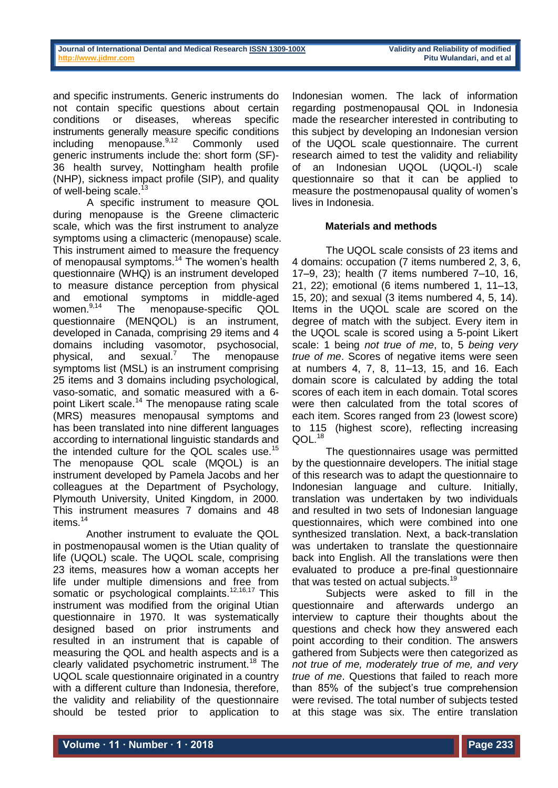and specific instruments. Generic instruments do not contain specific questions about certain conditions or diseases, whereas specific instruments generally measure specific conditions including menopause.<sup>9,12</sup> Commonly used generic instruments include the: short form (SF)- 36 health survey, Nottingham health profile (NHP), sickness impact profile (SIP), and quality of well-being scale.<sup>13</sup>

A specific instrument to measure QOL during menopause is the Greene climacteric scale, which was the first instrument to analyze symptoms using a climacteric (menopause) scale. This instrument aimed to measure the frequency of menopausal symptoms.<sup>14</sup> The women's health questionnaire (WHQ) is an instrument developed to measure distance perception from physical and emotional symptoms in middle-aged<br>women.<sup>9,14</sup> The menopause-specific QOL The menopause-specific QOL questionnaire (MENQOL) is an instrument, developed in Canada, comprising 29 items and 4 domains including vasomotor, psychosocial, physical, and sexual.<sup>7</sup> The menopause symptoms list (MSL) is an instrument comprising 25 items and 3 domains including psychological, vaso-somatic, and somatic measured with a 6 point Likert scale.<sup>14</sup> The menopause rating scale (MRS) measures menopausal symptoms and has been translated into nine different languages according to international linguistic standards and the intended culture for the QOL scales use.<sup>15</sup> The menopause QOL scale (MQOL) is an instrument developed by Pamela Jacobs and her colleagues at the Department of Psychology, Plymouth University, United Kingdom, in 2000. This instrument measures 7 domains and 48 items.<sup>14</sup>

Another instrument to evaluate the QOL in postmenopausal women is the Utian quality of life (UQOL) scale. The UQOL scale, comprising 23 items, measures how a woman accepts her life under multiple dimensions and free from somatic or psychological complaints.<sup>12,16,17</sup> This instrument was modified from the original Utian questionnaire in 1970. It was systematically designed based on prior instruments and resulted in an instrument that is capable of measuring the QOL and health aspects and is a clearly validated psychometric instrument.<sup>18</sup> The UQOL scale questionnaire originated in a country with a different culture than Indonesia, therefore, the validity and reliability of the questionnaire should be tested prior to application to

Indonesian women. The lack of information regarding postmenopausal QOL in Indonesia made the researcher interested in contributing to this subject by developing an Indonesian version of the UQOL scale questionnaire. The current research aimed to test the validity and reliability of an Indonesian UQOL (UQOL-I) scale questionnaire so that it can be applied to measure the postmenopausal quality of women's lives in Indonesia.

# **Materials and methods**

The UQOL scale consists of 23 items and 4 domains: occupation (7 items numbered 2, 3, 6, 17–9, 23); health (7 items numbered 7–10, 16, 21, 22); emotional (6 items numbered 1, 11–13, 15, 20); and sexual (3 items numbered 4, 5, 14). Items in the UQOL scale are scored on the degree of match with the subject. Every item in the UQOL scale is scored using a 5-point Likert scale: 1 being *not true of me*, to, 5 *being very true of me*. Scores of negative items were seen at numbers 4, 7, 8, 11–13, 15, and 16. Each domain score is calculated by adding the total scores of each item in each domain. Total scores were then calculated from the total scores of each item. Scores ranged from 23 (lowest score) to 115 (highest score), reflecting increasing QOL.<sup>18</sup>

The questionnaires usage was permitted by the questionnaire developers. The initial stage of this research was to adapt the questionnaire to Indonesian language and culture. Initially, translation was undertaken by two individuals and resulted in two sets of Indonesian language questionnaires, which were combined into one synthesized translation. Next, a back-translation was undertaken to translate the questionnaire back into English. All the translations were then evaluated to produce a pre-final questionnaire that was tested on actual subjects.<sup>19</sup>

Subjects were asked to fill in the questionnaire and afterwards undergo an interview to capture their thoughts about the questions and check how they answered each point according to their condition. The answers gathered from Subjects were then categorized as *not true of me, moderately true of me, and very true of me*. Questions that failed to reach more than 85% of the subject's true comprehension were revised. The total number of subjects tested at this stage was six. The entire translation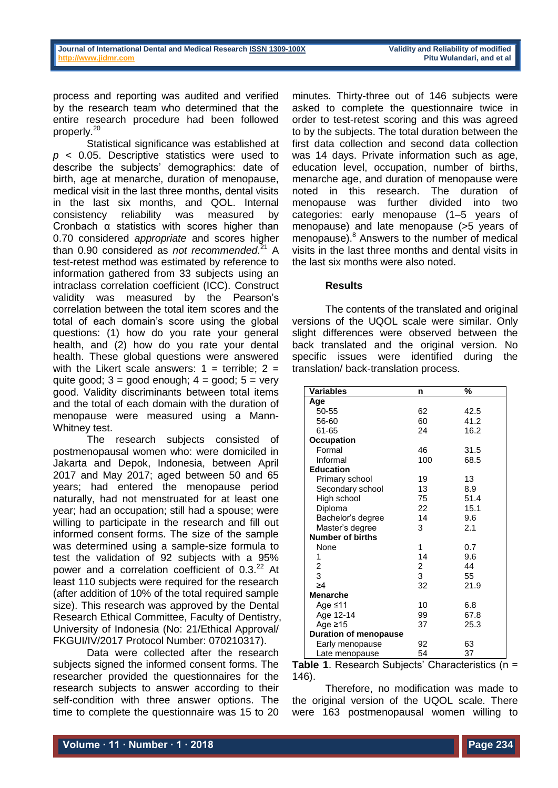process and reporting was audited and verified by the research team who determined that the entire research procedure had been followed properly.<sup>20</sup>

Statistical significance was established at *p* < 0.05. Descriptive statistics were used to describe the subjects' demographics: date of birth, age at menarche, duration of menopause, medical visit in the last three months, dental visits in the last six months, and QOL. Internal consistency reliability was measured by Cronbach α statistics with scores higher than 0.70 considered *appropriate* and scores higher than 0.90 considered as *not recommended*. <sup>21</sup> A test-retest method was estimated by reference to information gathered from 33 subjects using an intraclass correlation coefficient (ICC). Construct validity was measured by the Pearson's correlation between the total item scores and the total of each domain's score using the global questions: (1) how do you rate your general health, and (2) how do you rate your dental health. These global questions were answered with the Likert scale answers:  $1 =$  terrible;  $2 =$ quite good;  $3 =$  good enough;  $4 =$  good;  $5 =$  very good. Validity discriminants between total items and the total of each domain with the duration of menopause were measured using a Mann-Whitney test.

The research subjects consisted of postmenopausal women who: were domiciled in Jakarta and Depok, Indonesia, between April 2017 and May 2017; aged between 50 and 65 years; had entered the menopause period naturally, had not menstruated for at least one year; had an occupation; still had a spouse; were willing to participate in the research and fill out informed consent forms. The size of the sample was determined using a sample-size formula to test the validation of 92 subjects with a 95% power and a correlation coefficient of 0.3.<sup>22</sup> At least 110 subjects were required for the research (after addition of 10% of the total required sample size). This research was approved by the Dental Research Ethical Committee, Faculty of Dentistry, University of Indonesia (No: 21/Ethical Approval/ FKGUI/IV/2017 Protocol Number: 070210317).

Data were collected after the research subjects signed the informed consent forms. The researcher provided the questionnaires for the research subjects to answer according to their self-condition with three answer options. The time to complete the questionnaire was 15 to 20 minutes. Thirty-three out of 146 subjects were asked to complete the questionnaire twice in order to test-retest scoring and this was agreed to by the subjects. The total duration between the first data collection and second data collection was 14 days. Private information such as age, education level, occupation, number of births, menarche age, and duration of menopause were noted in this research. The duration of menopause was further divided into two categories: early menopause (1–5 years of menopause) and late menopause (>5 years of menopause).<sup>8</sup> Answers to the number of medical visits in the last three months and dental visits in the last six months were also noted.

## **Results**

The contents of the translated and original versions of the UQOL scale were similar. Only slight differences were observed between the back translated and the original version. No specific issues were identified during the translation/ back-translation process.

| <b>Variables</b>             | n             | %    |
|------------------------------|---------------|------|
| Age                          |               |      |
| 50-55                        | 62            | 42.5 |
| 56-60                        | 60            | 41.2 |
| 61-65                        | 24            | 16.2 |
| <b>Occupation</b>            |               |      |
| Formal                       | 46            | 31.5 |
| Informal                     | 100           | 68.5 |
| <b>Education</b>             |               |      |
| Primary school               | 19            | 13   |
| Secondary school             | 13            | 8.9  |
| High school                  | 75            | 51.4 |
| Diploma                      | 22            | 15.1 |
| Bachelor's degree            | 14            | 9.6  |
| Master's degree              | 3             | 2.1  |
| <b>Number of births</b>      |               |      |
| None                         | 1             | 0.7  |
| 1                            | 14            | 9.6  |
| $\frac{2}{3}$                | $\frac{2}{3}$ | 44   |
|                              |               | 55   |
| $\geq 4$                     | 32            | 21.9 |
| <b>Menarche</b>              |               |      |
| Age ≤11                      | 10            | 6.8  |
| Age 12-14                    | 99            | 67.8 |
| Age ≥15                      | 37            | 25.3 |
| <b>Duration of menopause</b> |               |      |
| Early menopause              | 92            | 63   |
| Late menopause               | 54            | 37   |

**Table 1**. Research Subjects' Characteristics (n = 146).

Therefore, no modification was made to the original version of the UQOL scale. There were 163 postmenopausal women willing to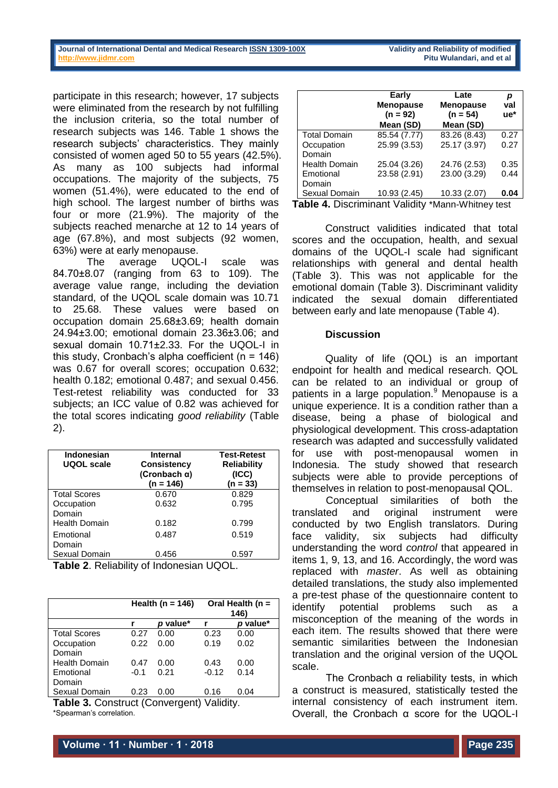participate in this research; however, 17 subjects were eliminated from the research by not fulfilling the inclusion criteria, so the total number of research subjects was 146. Table 1 shows the research subjects' characteristics. They mainly consisted of women aged 50 to 55 years (42.5%). As many as 100 subjects had informal occupations. The majority of the subjects, 75 women (51.4%), were educated to the end of high school. The largest number of births was four or more (21.9%). The majority of the subjects reached menarche at 12 to 14 years of age (67.8%), and most subjects (92 women, 63%) were at early menopause.

The average UQOL-I scale was 84.70±8.07 (ranging from 63 to 109). The average value range, including the deviation standard, of the UQOL scale domain was 10.71 to 25.68. These values were based on occupation domain 25.68±3.69; health domain 24.94±3.00; emotional domain 23.36±3.06; and sexual domain 10.71±2.33. For the UQOL-I in this study, Cronbach's alpha coefficient (n = 146) was 0.67 for overall scores; occupation 0.632; health 0.182; emotional 0.487; and sexual 0.456. Test-retest reliability was conducted for 33 subjects; an ICC value of 0.82 was achieved for the total scores indicating *good reliability* (Table 2).

| Indonesian<br>UQOL scale | Internal<br>Consistency<br>(Cronbach $\alpha$ )<br>$(n = 146)$ | <b>Test-Retest</b><br><b>Reliability</b><br>(ICC)<br>(n = 33) |
|--------------------------|----------------------------------------------------------------|---------------------------------------------------------------|
| <b>Total Scores</b>      | 0.670                                                          | 0.829                                                         |
| Occupation               | 0.632                                                          | 0.795                                                         |
| Domain                   |                                                                |                                                               |
| <b>Health Domain</b>     | 0.182                                                          | 0.799                                                         |
| Emotional                | 0.487                                                          | 0.519                                                         |
| Domain                   |                                                                |                                                               |
| Sexual Domain            | 0.456                                                          | 0.597                                                         |
| _ _                      | .                                                              | $\cdots$                                                      |

**Table 2**. Reliability of Indonesian UQOL.

|                      | Health (n = $146$ ) |          | Oral Health ( $n =$<br>146) |          |
|----------------------|---------------------|----------|-----------------------------|----------|
|                      |                     | p value* |                             | p value* |
| <b>Total Scores</b>  | 0.27                | 0.00     | 0.23                        | 0.00     |
| Occupation           | 0.22                | 0.00     | 0.19                        | 0.02     |
| Domain               |                     |          |                             |          |
| <b>Health Domain</b> | 0.47                | 0.00     | 0.43                        | 0.00     |
| Emotional            | $-0.1$              | 0.21     | $-0.12$                     | 0.14     |
| Domain               |                     |          |                             |          |
| Sexual Domain        | 0.23                | 0.00     | 0.16                        | 0.04     |

**Table 3.** Construct (Convergent) Validity. \*Spearman's correlation.

|                                                          | Early<br><b>Menopause</b><br>$(n = 92)$<br>Mean (SD) | Late<br><b>Menopause</b><br>$(n = 54)$<br>Mean (SD) | р<br>val<br>ue* |  |  |
|----------------------------------------------------------|------------------------------------------------------|-----------------------------------------------------|-----------------|--|--|
| <b>Total Domain</b>                                      | 85.54 (7.77)                                         | 83.26 (8.43)                                        | 0.27            |  |  |
| Occupation                                               | 25.99 (3.53)                                         | 25.17 (3.97)                                        | 0.27            |  |  |
| Domain                                                   |                                                      |                                                     |                 |  |  |
| <b>Health Domain</b>                                     | 25.04 (3.26)                                         | 24.76 (2.53)                                        | 0.35            |  |  |
| Emotional                                                | 23.58 (2.91)                                         | 23.00 (3.29)                                        | 0.44            |  |  |
| Domain                                                   |                                                      |                                                     |                 |  |  |
| Sexual Domain                                            | 10.93 (2.45)                                         | 10.33 (2.07)                                        | 0.04            |  |  |
| <b>Fable 4.</b> Discriminant Validity *Mann-Whitney test |                                                      |                                                     |                 |  |  |

Construct validities indicated that total scores and the occupation, health, and sexual domains of the UQOL-I scale had significant relationships with general and dental health (Table 3). This was not applicable for the emotional domain (Table 3). Discriminant validity indicated the sexual domain differentiated between early and late menopause (Table 4).

## **Discussion**

Quality of life (QOL) is an important endpoint for health and medical research. QOL can be related to an individual or group of patients in a large population.<sup>9</sup> Menopause is a unique experience. It is a condition rather than a disease, being a phase of biological and physiological development. This cross-adaptation research was adapted and successfully validated for use with post-menopausal women in Indonesia. The study showed that research subjects were able to provide perceptions of themselves in relation to post-menopausal QOL.

Conceptual similarities of both the translated and original instrument were conducted by two English translators. During face validity, six subjects had difficulty understanding the word *control* that appeared in items 1, 9, 13, and 16. Accordingly, the word was replaced with *master*. As well as obtaining detailed translations, the study also implemented a pre-test phase of the questionnaire content to identify potential problems such as a misconception of the meaning of the words in each item. The results showed that there were semantic similarities between the Indonesian translation and the original version of the UQOL scale.

The Cronbach  $\alpha$  reliability tests, in which a construct is measured, statistically tested the internal consistency of each instrument item. Overall, the Cronbach α score for the UQOL-I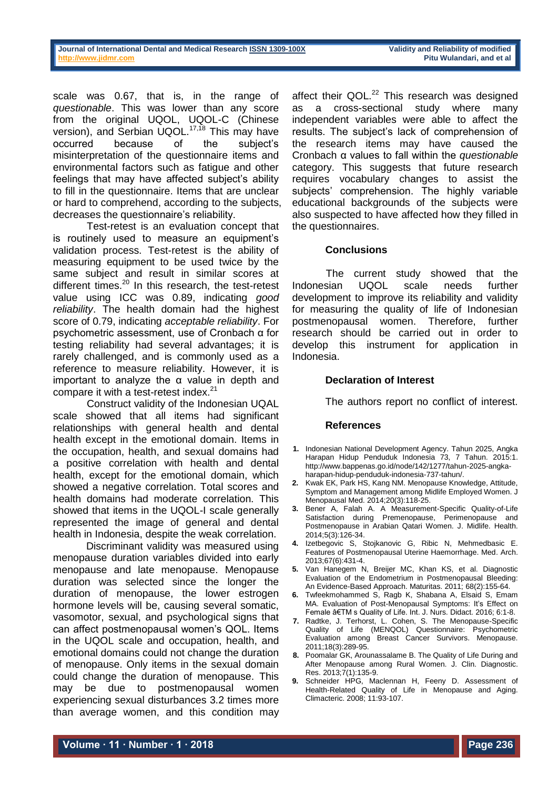scale was 0.67, that is, in the range of *questionable*. This was lower than any score from the original UQOL, UQOL-C (Chinese version), and Serbian UQOL.<sup>17,18</sup> This may have occurred because of the subject's misinterpretation of the questionnaire items and environmental factors such as fatigue and other feelings that may have affected subject's ability to fill in the questionnaire. Items that are unclear or hard to comprehend, according to the subjects, decreases the questionnaire's reliability.

Test-retest is an evaluation concept that is routinely used to measure an equipment's validation process. Test-retest is the ability of measuring equipment to be used twice by the same subject and result in similar scores at different times.<sup>20</sup> In this research, the test-retest value using ICC was 0.89, indicating *good reliability*. The health domain had the highest score of 0.79, indicating *acceptable reliability*. For psychometric assessment, use of Cronbach α for testing reliability had several advantages; it is rarely challenged, and is commonly used as a reference to measure reliability. However, it is important to analyze the α value in depth and compare it with a test-retest index.<sup>21</sup>

Construct validity of the Indonesian UQAL scale showed that all items had significant relationships with general health and dental health except in the emotional domain. Items in the occupation, health, and sexual domains had a positive correlation with health and dental health, except for the emotional domain, which showed a negative correlation. Total scores and health domains had moderate correlation. This showed that items in the UQOL-I scale generally represented the image of general and dental health in Indonesia, despite the weak correlation.

Discriminant validity was measured using menopause duration variables divided into early menopause and late menopause. Menopause duration was selected since the longer the duration of menopause, the lower estrogen hormone levels will be, causing several somatic, vasomotor, sexual, and psychological signs that can affect postmenopausal women's QOL. Items in the UQOL scale and occupation, health, and emotional domains could not change the duration of menopause. Only items in the sexual domain could change the duration of menopause. This may be due to postmenopausal women experiencing sexual disturbances 3.2 times more than average women, and this condition may

affect their QOL.<sup>22</sup> This research was designed as a cross-sectional study where many independent variables were able to affect the results. The subject's lack of comprehension of the research items may have caused the Cronbach α values to fall within the *questionable* category. This suggests that future research requires vocabulary changes to assist the subjects' comprehension. The highly variable educational backgrounds of the subjects were also suspected to have affected how they filled in the questionnaires.

# **Conclusions**

The current study showed that the Indonesian UQOL scale needs further development to improve its reliability and validity for measuring the quality of life of Indonesian postmenopausal women. Therefore, further research should be carried out in order to develop this instrument for application in Indonesia.

# **Declaration of Interest**

The authors report no conflict of interest.

## **References**

- **1.** Indonesian National Development Agency. Tahun 2025, Angka Harapan Hidup Penduduk Indonesia 73, 7 Tahun. 2015:1. [http://www.bappenas.go.id/node/142/1277/tahun-2025-angka](http://www.bappenas.go.id/node/142/1277/tahun-2025-angka-harapan-hidup-penduduk-indonesia-737-tahun/)[harapan-hidup-penduduk-indonesia-737-tahun/.](http://www.bappenas.go.id/node/142/1277/tahun-2025-angka-harapan-hidup-penduduk-indonesia-737-tahun/)
- **2.** Kwak EK, Park HS, Kang NM. Menopause Knowledge, Attitude, Symptom and Management among Midlife Employed Women. J Menopausal Med. 2014;20(3):118-25.
- **3.** Bener A, Falah A. A Measurement-Specific Quality-of-Life Satisfaction during Premenopause, Perimenopause and Postmenopause in Arabian Qatari Women. J. Midlife. Health. 2014;5(3):126-34.
- **4.** Izetbegovic S, Stojkanovic G, Ribic N, Mehmedbasic E. Features of Postmenopausal Uterine Haemorrhage. Med. Arch. 2013;67(6):431-4.
- **5.** Van Hanegem N, Breijer MC, Khan KS, et al. Diagnostic Evaluation of the Endometrium in Postmenopausal Bleeding: An Evidence-Based Approach. Maturitas. 2011; 68(2):155-64.
- **6.** Twfeekmohammed S, Ragb K, Shabana A, Elsaid S, Emam MA. Evaluation of Post-Menopausal Symptoms: It's Effect on Female â€TM s Quality of Life. Int. J. Nurs. Didact. 2016; 6:1-8.
- **7.** Radtke, J. Terhorst, L. Cohen, S. The Menopause-Specific Quality of Life (MENQOL) Questionnaire: Psychometric Evaluation among Breast Cancer Survivors. Menopause. 2011;18(3):289-95.
- **8.** Poomalar GK, Arounassalame B. The Quality of Life During and After Menopause among Rural Women. J. Clin. Diagnostic. Res. 2013;7(1):135-9.
- 9. Schneider HPG, Maclennan H, Feeny D. Assessment of Health-Related Quality of Life in Menopause and Aging. Climacteric. 2008; 11:93-107.